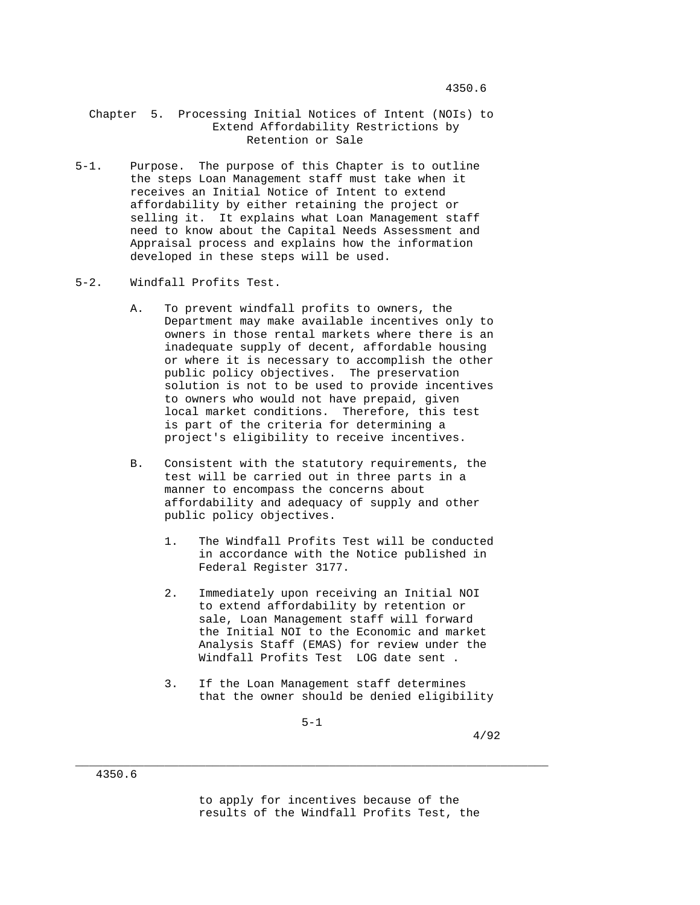## Chapter 5. Processing Initial Notices of Intent (NOIs) to Extend Affordability Restrictions by Retention or Sale

- 5-1. Purpose. The purpose of this Chapter is to outline the steps Loan Management staff must take when it receives an Initial Notice of Intent to extend affordability by either retaining the project or selling it. It explains what Loan Management staff need to know about the Capital Needs Assessment and Appraisal process and explains how the information developed in these steps will be used.
- 5-2. Windfall Profits Test.
	- A. To prevent windfall profits to owners, the Department may make available incentives only to owners in those rental markets where there is an inadequate supply of decent, affordable housing or where it is necessary to accomplish the other public policy objectives. The preservation solution is not to be used to provide incentives to owners who would not have prepaid, given local market conditions. Therefore, this test is part of the criteria for determining a project's eligibility to receive incentives.
	- B. Consistent with the statutory requirements, the test will be carried out in three parts in a manner to encompass the concerns about affordability and adequacy of supply and other public policy objectives.
		- 1. The Windfall Profits Test will be conducted in accordance with the Notice published in Federal Register 3177.
		- 2. Immediately upon receiving an Initial NOI to extend affordability by retention or sale, Loan Management staff will forward the Initial NOI to the Economic and market Analysis Staff (EMAS) for review under the Windfall Profits Test LOG date sent .
		- 3. If the Loan Management staff determines that the owner should be denied eligibility

 $5-1$ 

\_\_\_\_\_\_\_\_\_\_\_\_\_\_\_\_\_\_\_\_\_\_\_\_\_\_\_\_\_\_\_\_\_\_\_\_\_\_\_\_\_\_\_\_\_\_\_\_\_\_\_\_\_\_\_\_\_\_\_\_\_\_\_\_\_\_\_\_\_

4/92

 to apply for incentives because of the results of the Windfall Profits Test, the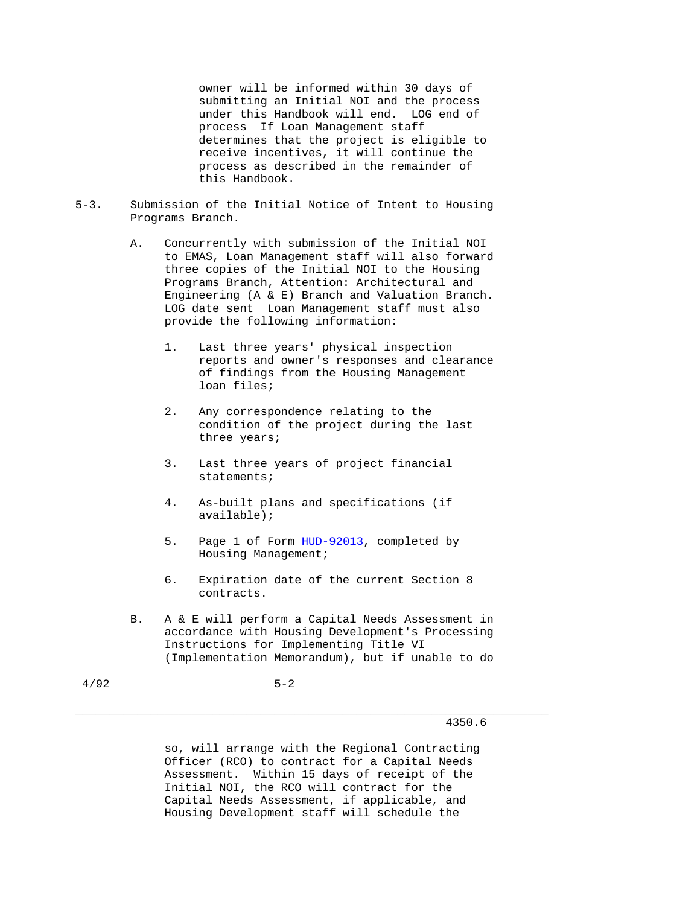owner will be informed within 30 days of submitting an Initial NOI and the process under this Handbook will end. LOG end of process If Loan Management staff determines that the project is eligible to receive incentives, it will continue the process as described in the remainder of this Handbook.

- 5-3. Submission of the Initial Notice of Intent to Housing Programs Branch.
	- A. Concurrently with submission of the Initial NOI to EMAS, Loan Management staff will also forward three copies of the Initial NOI to the Housing Programs Branch, Attention: Architectural and Engineering (A & E) Branch and Valuation Branch. LOG date sent Loan Management staff must also provide the following information:
		- 1. Last three years' physical inspection reports and owner's responses and clearance of findings from the Housing Management loan files;
		- 2. Any correspondence relating to the condition of the project during the last three years;
		- 3. Last three years of project financial statements;
		- 4. As-built plans and specifications (if available);
		- 5. Page 1 of Form HUD-92013, completed by Housing Management;
		- 6. Expiration date of the current Section 8 contracts.
	- B. A & E will perform a Capital Needs Assessment in accordance with Housing Development's Processing Instructions for Implementing Title VI (Implementation Memorandum), but if unable to do

4/92 5-2

# 4350.6

 so, will arrange with the Regional Contracting Officer (RCO) to contract for a Capital Needs Assessment. Within 15 days of receipt of the Initial NOI, the RCO will contract for the Capital Needs Assessment, if applicable, and Housing Development staff will schedule the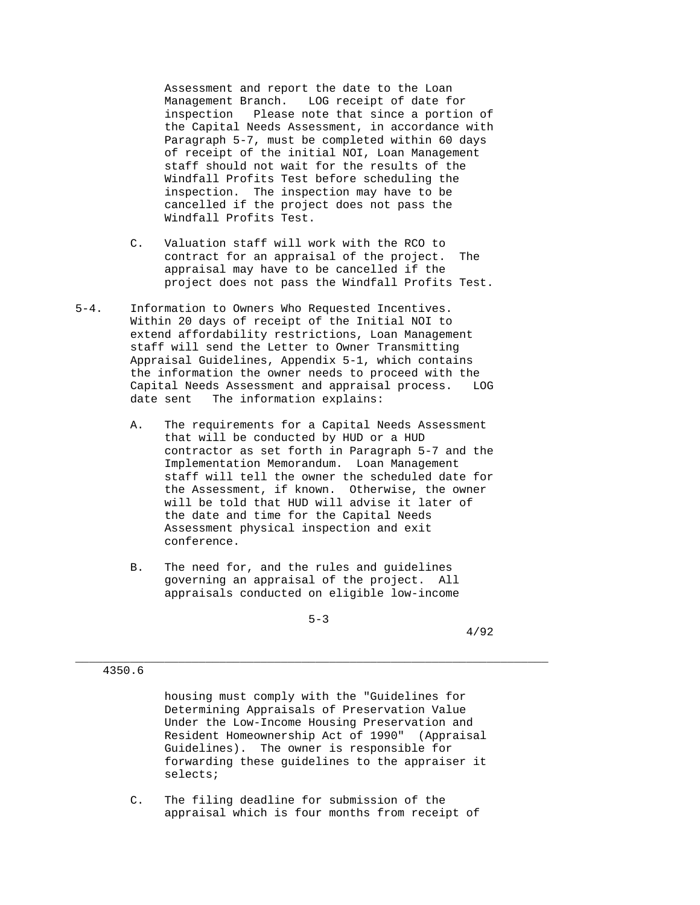Assessment and report the date to the Loan Management Branch. LOG receipt of date for inspection Please note that since a portion of the Capital Needs Assessment, in accordance with Paragraph 5-7, must be completed within 60 days of receipt of the initial NOI, Loan Management staff should not wait for the results of the Windfall Profits Test before scheduling the inspection. The inspection may have to be cancelled if the project does not pass the Windfall Profits Test.

- C. Valuation staff will work with the RCO to contract for an appraisal of the project. The appraisal may have to be cancelled if the project does not pass the Windfall Profits Test.
- 5-4. Information to Owners Who Requested Incentives. Within 20 days of receipt of the Initial NOI to extend affordability restrictions, Loan Management staff will send the Letter to Owner Transmitting Appraisal Guidelines, Appendix 5-1, which contains the information the owner needs to proceed with the Capital Needs Assessment and appraisal process. LOG date sent The information explains:
	- A. The requirements for a Capital Needs Assessment that will be conducted by HUD or a HUD contractor as set forth in Paragraph 5-7 and the Implementation Memorandum. Loan Management staff will tell the owner the scheduled date for the Assessment, if known. Otherwise, the owner will be told that HUD will advise it later of the date and time for the Capital Needs Assessment physical inspection and exit conference.
	- B. The need for, and the rules and guidelines governing an appraisal of the project. All appraisals conducted on eligible low-income

 $5-3$ 

\_\_\_\_\_\_\_\_\_\_\_\_\_\_\_\_\_\_\_\_\_\_\_\_\_\_\_\_\_\_\_\_\_\_\_\_\_\_\_\_\_\_\_\_\_\_\_\_\_\_\_\_\_\_\_\_\_\_\_\_\_\_\_\_\_\_\_\_\_

4/92

### 4350.6

 housing must comply with the "Guidelines for Determining Appraisals of Preservation Value Under the Low-Income Housing Preservation and Resident Homeownership Act of 1990" (Appraisal Guidelines). The owner is responsible for forwarding these guidelines to the appraiser it selects;

 C. The filing deadline for submission of the appraisal which is four months from receipt of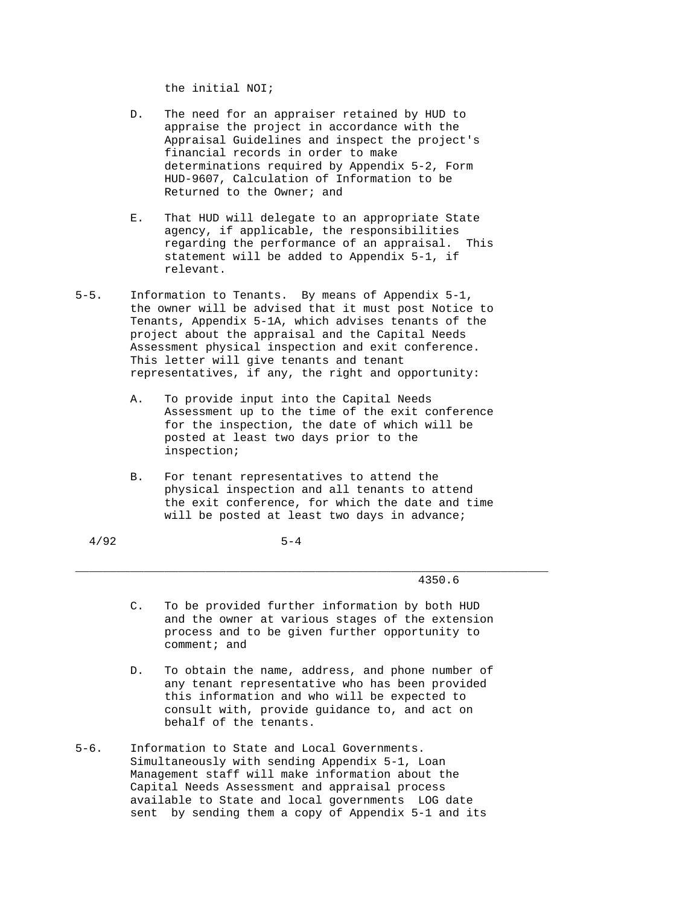the initial NOI;

- D. The need for an appraiser retained by HUD to appraise the project in accordance with the Appraisal Guidelines and inspect the project's financial records in order to make determinations required by Appendix 5-2, Form HUD-9607, Calculation of Information to be Returned to the Owner; and
- E. That HUD will delegate to an appropriate State agency, if applicable, the responsibilities regarding the performance of an appraisal. This statement will be added to Appendix 5-1, if relevant.
- 5-5. Information to Tenants. By means of Appendix 5-1, the owner will be advised that it must post Notice to Tenants, Appendix 5-1A, which advises tenants of the project about the appraisal and the Capital Needs Assessment physical inspection and exit conference. This letter will give tenants and tenant representatives, if any, the right and opportunity:
	- A. To provide input into the Capital Needs Assessment up to the time of the exit conference for the inspection, the date of which will be posted at least two days prior to the inspection;
	- B. For tenant representatives to attend the physical inspection and all tenants to attend the exit conference, for which the date and time will be posted at least two days in advance;

 $4/92$  5-4

4350.6

 C. To be provided further information by both HUD and the owner at various stages of the extension process and to be given further opportunity to comment; and

- D. To obtain the name, address, and phone number of any tenant representative who has been provided this information and who will be expected to consult with, provide guidance to, and act on behalf of the tenants.
- 5-6. Information to State and Local Governments. Simultaneously with sending Appendix 5-1, Loan Management staff will make information about the Capital Needs Assessment and appraisal process available to State and local governments LOG date sent by sending them a copy of Appendix 5-1 and its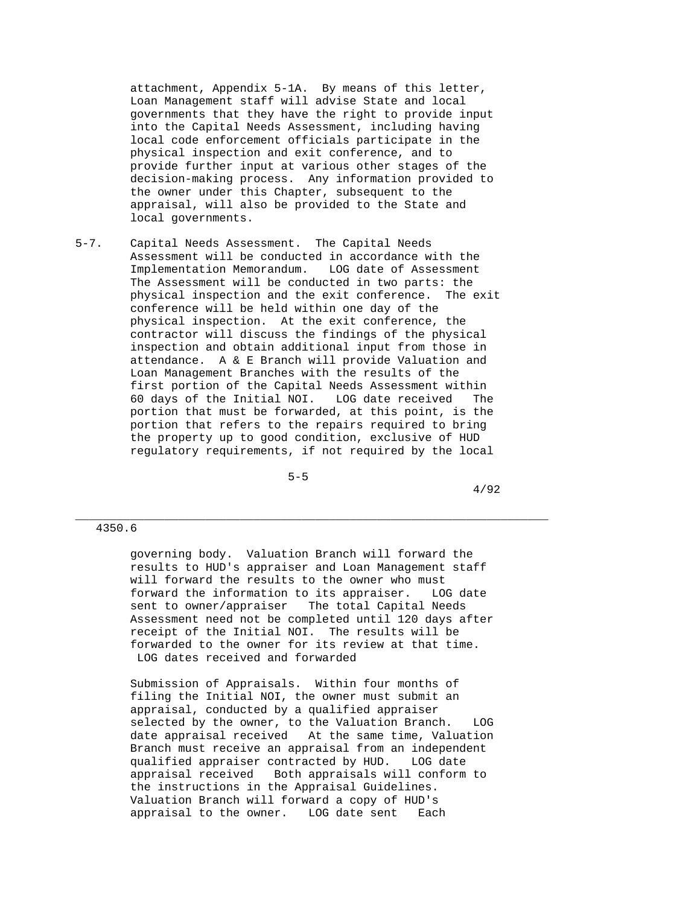attachment, Appendix 5-1A. By means of this letter, Loan Management staff will advise State and local governments that they have the right to provide input into the Capital Needs Assessment, including having local code enforcement officials participate in the physical inspection and exit conference, and to provide further input at various other stages of the decision-making process. Any information provided to the owner under this Chapter, subsequent to the appraisal, will also be provided to the State and local governments.

5-7. Capital Needs Assessment. The Capital Needs Assessment will be conducted in accordance with the Implementation Memorandum. LOG date of Assessment The Assessment will be conducted in two parts: the physical inspection and the exit conference. The exit conference will be held within one day of the physical inspection. At the exit conference, the contractor will discuss the findings of the physical inspection and obtain additional input from those in attendance. A & E Branch will provide Valuation and Loan Management Branches with the results of the first portion of the Capital Needs Assessment within 60 days of the Initial NOI. LOG date received The portion that must be forwarded, at this point, is the portion that refers to the repairs required to bring the property up to good condition, exclusive of HUD regulatory requirements, if not required by the local

 $5-5$ 

4/92

4350.6

 governing body. Valuation Branch will forward the results to HUD's appraiser and Loan Management staff will forward the results to the owner who must forward the information to its appraiser. LOG date sent to owner/appraiser The total Capital Needs Assessment need not be completed until 120 days after receipt of the Initial NOI. The results will be forwarded to the owner for its review at that time. LOG dates received and forwarded

\_\_\_\_\_\_\_\_\_\_\_\_\_\_\_\_\_\_\_\_\_\_\_\_\_\_\_\_\_\_\_\_\_\_\_\_\_\_\_\_\_\_\_\_\_\_\_\_\_\_\_\_\_\_\_\_\_\_\_\_\_\_\_\_\_\_\_\_\_

 Submission of Appraisals. Within four months of filing the Initial NOI, the owner must submit an appraisal, conducted by a qualified appraiser selected by the owner, to the Valuation Branch. LOG date appraisal received At the same time, Valuation Branch must receive an appraisal from an independent qualified appraiser contracted by HUD. LOG date appraisal received Both appraisals will conform to the instructions in the Appraisal Guidelines. Valuation Branch will forward a copy of HUD's appraisal to the owner. LOG date sent Each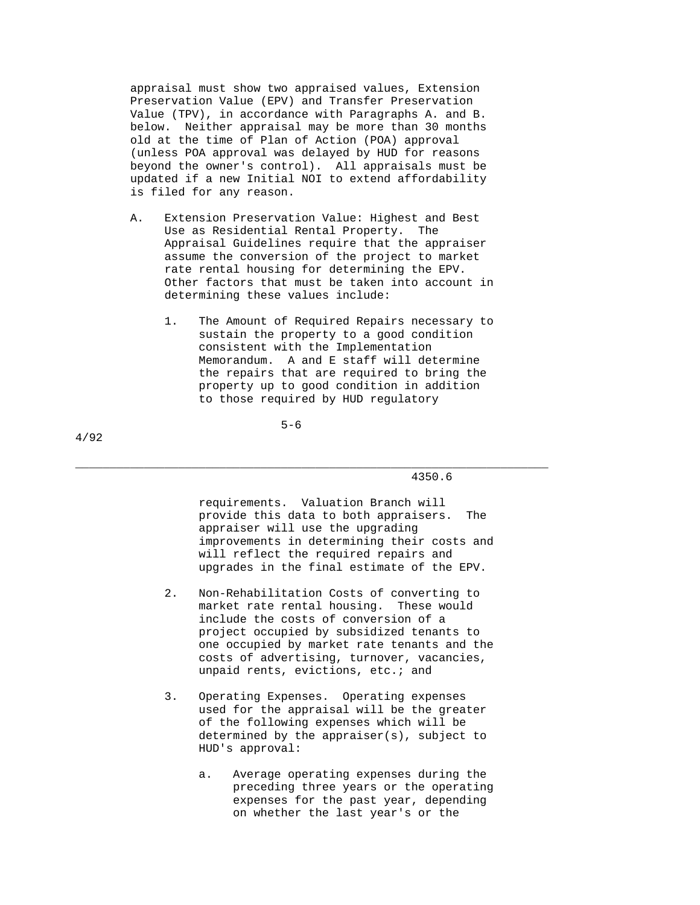appraisal must show two appraised values, Extension Preservation Value (EPV) and Transfer Preservation Value (TPV), in accordance with Paragraphs A. and B. below. Neither appraisal may be more than 30 months old at the time of Plan of Action (POA) approval (unless POA approval was delayed by HUD for reasons beyond the owner's control). All appraisals must be updated if a new Initial NOI to extend affordability is filed for any reason.

- A. Extension Preservation Value: Highest and Best Use as Residential Rental Property. The Appraisal Guidelines require that the appraiser assume the conversion of the project to market rate rental housing for determining the EPV. Other factors that must be taken into account in determining these values include:
	- 1. The Amount of Required Repairs necessary to sustain the property to a good condition consistent with the Implementation Memorandum. A and E staff will determine the repairs that are required to bring the property up to good condition in addition to those required by HUD regulatory

 $5-6$ 

\_\_\_\_\_\_\_\_\_\_\_\_\_\_\_\_\_\_\_\_\_\_\_\_\_\_\_\_\_\_\_\_\_\_\_\_\_\_\_\_\_\_\_\_\_\_\_\_\_\_\_\_\_\_\_\_\_\_\_\_\_\_\_\_\_\_\_\_\_

4/92

4350.6

 requirements. Valuation Branch will provide this data to both appraisers. The appraiser will use the upgrading improvements in determining their costs and will reflect the required repairs and upgrades in the final estimate of the EPV.

- 2. Non-Rehabilitation Costs of converting to market rate rental housing. These would include the costs of conversion of a project occupied by subsidized tenants to one occupied by market rate tenants and the costs of advertising, turnover, vacancies, unpaid rents, evictions, etc.; and
- 3. Operating Expenses. Operating expenses used for the appraisal will be the greater of the following expenses which will be determined by the appraiser(s), subject to HUD's approval:
	- a. Average operating expenses during the preceding three years or the operating expenses for the past year, depending on whether the last year's or the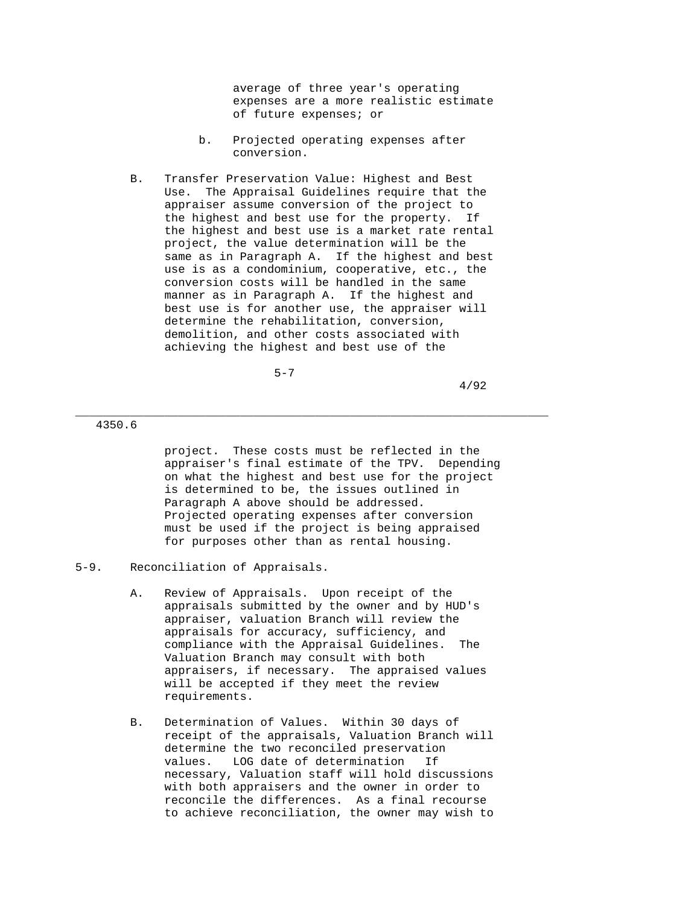average of three year's operating expenses are a more realistic estimate of future expenses; or

- b. Projected operating expenses after conversion.
- B. Transfer Preservation Value: Highest and Best Use. The Appraisal Guidelines require that the appraiser assume conversion of the project to the highest and best use for the property. If the highest and best use is a market rate rental project, the value determination will be the same as in Paragraph A. If the highest and best use is as a condominium, cooperative, etc., the conversion costs will be handled in the same manner as in Paragraph A. If the highest and best use is for another use, the appraiser will determine the rehabilitation, conversion, demolition, and other costs associated with achieving the highest and best use of the

 $5-7$ 

4/92

4350.6

 project. These costs must be reflected in the appraiser's final estimate of the TPV. Depending on what the highest and best use for the project is determined to be, the issues outlined in Paragraph A above should be addressed. Projected operating expenses after conversion must be used if the project is being appraised for purposes other than as rental housing.

- A. Review of Appraisals. Upon receipt of the appraisals submitted by the owner and by HUD's appraiser, valuation Branch will review the appraisals for accuracy, sufficiency, and compliance with the Appraisal Guidelines. The Valuation Branch may consult with both appraisers, if necessary. The appraised values will be accepted if they meet the review requirements.
- B. Determination of Values. Within 30 days of receipt of the appraisals, Valuation Branch will determine the two reconciled preservation values. LOG date of determination If necessary, Valuation staff will hold discussions with both appraisers and the owner in order to reconcile the differences. As a final recourse to achieve reconciliation, the owner may wish to

<sup>5-9.</sup> Reconciliation of Appraisals.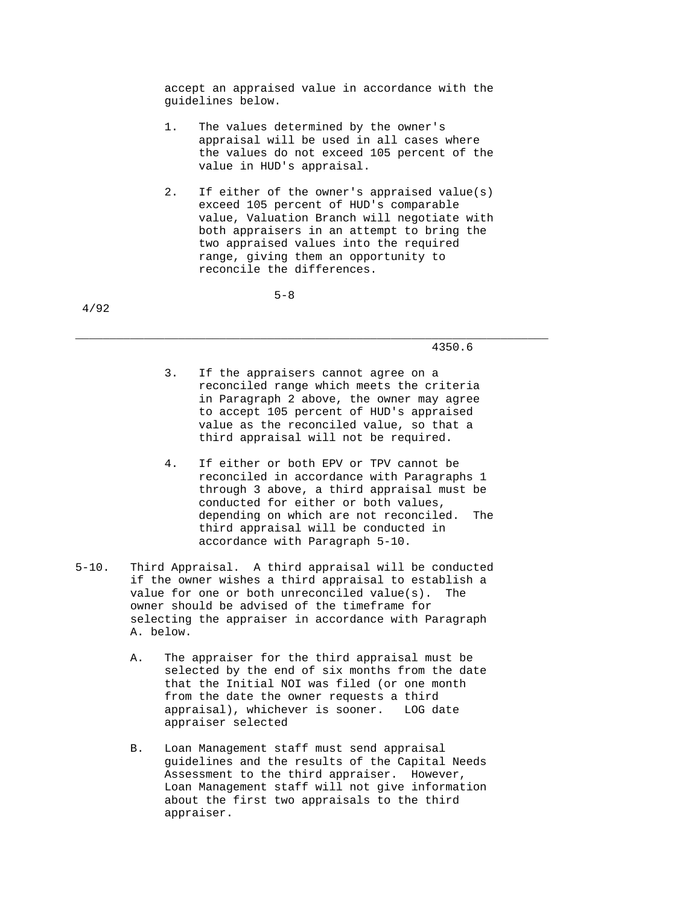accept an appraised value in accordance with the guidelines below.

- 1. The values determined by the owner's appraisal will be used in all cases where the values do not exceed 105 percent of the value in HUD's appraisal.
- 2. If either of the owner's appraised value(s) exceed 105 percent of HUD's comparable value, Valuation Branch will negotiate with both appraisers in an attempt to bring the two appraised values into the required range, giving them an opportunity to reconcile the differences.

 $5-8$ 

4/92

4350.6

 3. If the appraisers cannot agree on a reconciled range which meets the criteria in Paragraph 2 above, the owner may agree to accept 105 percent of HUD's appraised value as the reconciled value, so that a third appraisal will not be required.

- 4. If either or both EPV or TPV cannot be reconciled in accordance with Paragraphs 1 through 3 above, a third appraisal must be conducted for either or both values, depending on which are not reconciled. The third appraisal will be conducted in accordance with Paragraph 5-10.
- 5-10. Third Appraisal. A third appraisal will be conducted if the owner wishes a third appraisal to establish a value for one or both unreconciled value(s). The owner should be advised of the timeframe for selecting the appraiser in accordance with Paragraph A. below.
	- A. The appraiser for the third appraisal must be selected by the end of six months from the date that the Initial NOI was filed (or one month from the date the owner requests a third appraisal), whichever is sooner. LOG date appraiser selected
	- B. Loan Management staff must send appraisal guidelines and the results of the Capital Needs Assessment to the third appraiser. However, Loan Management staff will not give information about the first two appraisals to the third appraiser.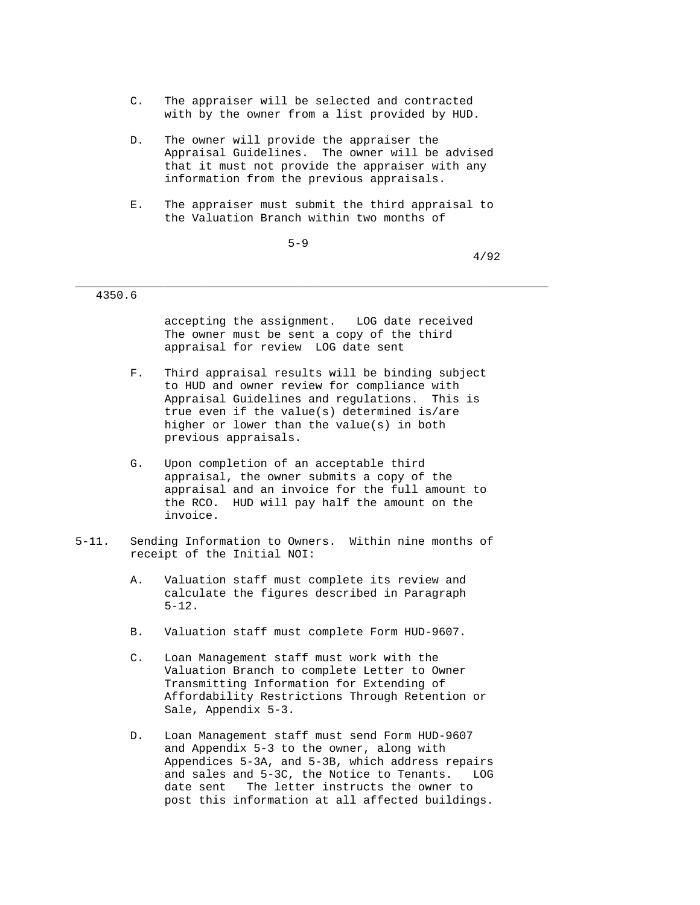- C. The appraiser will be selected and contracted with by the owner from a list provided by HUD.
- D. The owner will provide the appraiser the Appraisal Guidelines. The owner will be advised that it must not provide the appraiser with any information from the previous appraisals.
- E. The appraiser must submit the third appraisal to the Valuation Branch within two months of

 $5-9$ 

4/92

# 4350.6

 accepting the assignment. LOG date received The owner must be sent a copy of the third appraisal for review LOG date sent

- F. Third appraisal results will be binding subject to HUD and owner review for compliance with Appraisal Guidelines and regulations. This is true even if the value(s) determined is/are higher or lower than the value(s) in both previous appraisals.
- G. Upon completion of an acceptable third appraisal, the owner submits a copy of the appraisal and an invoice for the full amount to the RCO. HUD will pay half the amount on the invoice.
- 5-11. Sending Information to Owners. Within nine months of receipt of the Initial NOI:
	- A. Valuation staff must complete its review and calculate the figures described in Paragraph 5-12.
	- B. Valuation staff must complete Form HUD-9607.
	- C. Loan Management staff must work with the Valuation Branch to complete Letter to Owner Transmitting Information for Extending of Affordability Restrictions Through Retention or Sale, Appendix 5-3.
	- D. Loan Management staff must send Form HUD-9607 and Appendix 5-3 to the owner, along with Appendices 5-3A, and 5-3B, which address repairs and sales and 5-3C, the Notice to Tenants. LOG date sent The letter instructs the owner to post this information at all affected buildings.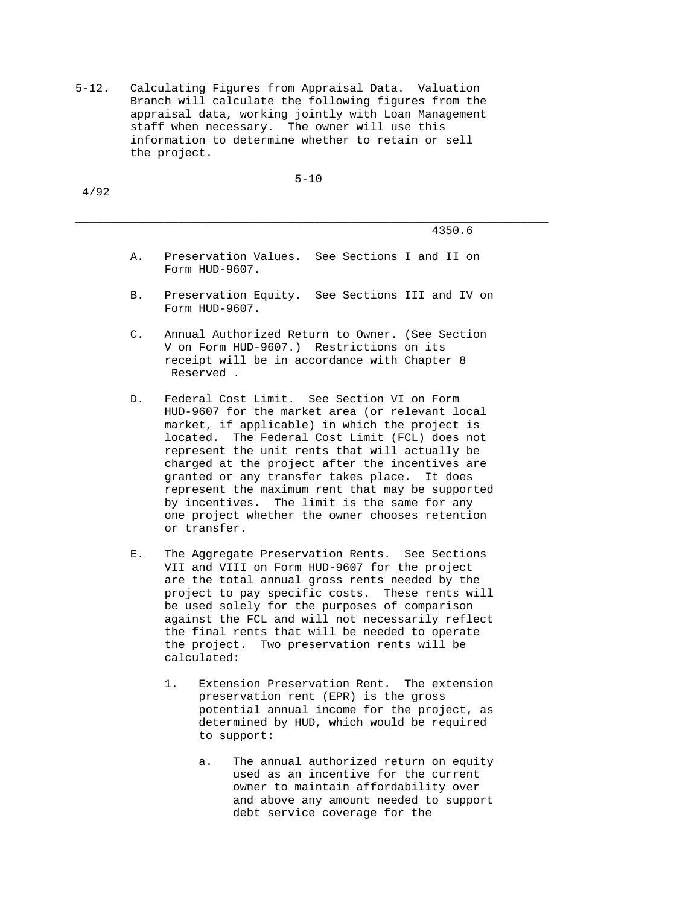5-12. Calculating Figures from Appraisal Data. Valuation Branch will calculate the following figures from the appraisal data, working jointly with Loan Management staff when necessary. The owner will use this information to determine whether to retain or sell the project.

5-10

\_\_\_\_\_\_\_\_\_\_\_\_\_\_\_\_\_\_\_\_\_\_\_\_\_\_\_\_\_\_\_\_\_\_\_\_\_\_\_\_\_\_\_\_\_\_\_\_\_\_\_\_\_\_\_\_\_\_\_\_\_\_\_\_\_\_\_\_\_

4/92

4350.6

- A. Preservation Values. See Sections I and II on Form HUD-9607.
- B. Preservation Equity. See Sections III and IV on Form HUD-9607.
- C. Annual Authorized Return to Owner. (See Section V on Form HUD-9607.) Restrictions on its receipt will be in accordance with Chapter 8 Reserved .
- D. Federal Cost Limit. See Section VI on Form HUD-9607 for the market area (or relevant local market, if applicable) in which the project is located. The Federal Cost Limit (FCL) does not represent the unit rents that will actually be charged at the project after the incentives are granted or any transfer takes place. It does represent the maximum rent that may be supported by incentives. The limit is the same for any one project whether the owner chooses retention or transfer.
- E. The Aggregate Preservation Rents. See Sections VII and VIII on Form HUD-9607 for the project are the total annual gross rents needed by the project to pay specific costs. These rents will be used solely for the purposes of comparison against the FCL and will not necessarily reflect the final rents that will be needed to operate the project. Two preservation rents will be calculated:
	- 1. Extension Preservation Rent. The extension preservation rent (EPR) is the gross potential annual income for the project, as determined by HUD, which would be required to support:
		- a. The annual authorized return on equity used as an incentive for the current owner to maintain affordability over and above any amount needed to support debt service coverage for the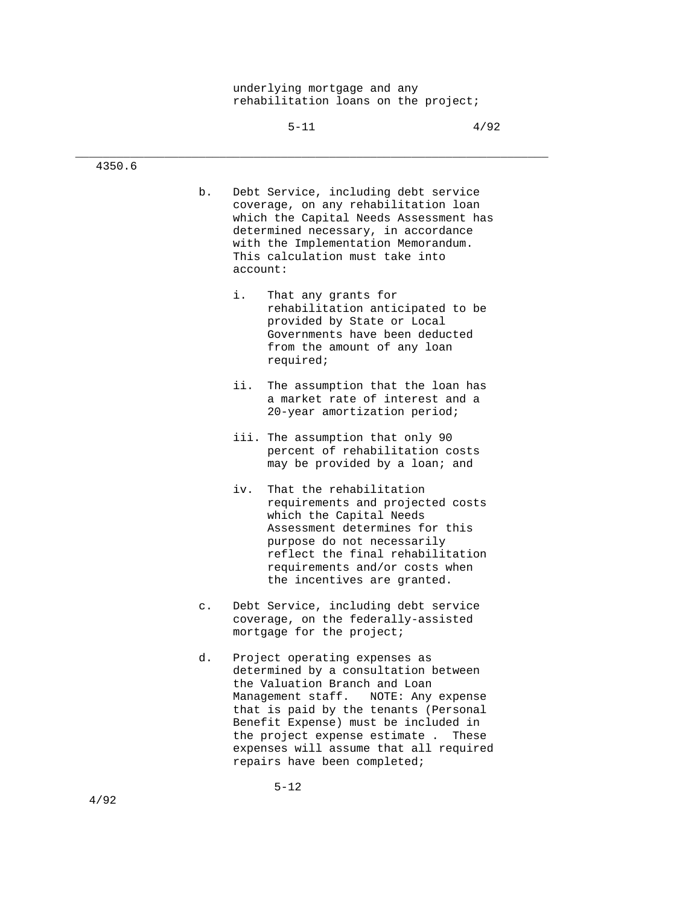underlying mortgage and any rehabilitation loans on the project;

| ٧ |  |  |
|---|--|--|
|   |  |  |

\_\_\_\_\_\_\_\_\_\_\_\_\_\_\_\_\_\_\_\_\_\_\_\_\_\_\_\_\_\_\_\_\_\_\_\_\_\_\_\_\_\_\_\_\_\_\_\_\_\_\_\_\_\_\_\_\_\_\_\_\_\_\_\_\_\_\_\_\_

| 4350.6 |                |                                                                                                                                                                                                                                                                                                                                                       |
|--------|----------------|-------------------------------------------------------------------------------------------------------------------------------------------------------------------------------------------------------------------------------------------------------------------------------------------------------------------------------------------------------|
|        | b.             | Debt Service, including debt service<br>coverage, on any rehabilitation loan<br>which the Capital Needs Assessment has<br>determined necessary, in accordance<br>with the Implementation Memorandum.<br>This calculation must take into<br>account:                                                                                                   |
|        |                | i.<br>That any grants for<br>rehabilitation anticipated to be<br>provided by State or Local<br>Governments have been deducted<br>from the amount of any loan<br>required;                                                                                                                                                                             |
|        |                | ii.<br>The assumption that the loan has<br>a market rate of interest and a<br>20-year amortization period;                                                                                                                                                                                                                                            |
|        |                | iii. The assumption that only 90<br>percent of rehabilitation costs<br>may be provided by a loan; and                                                                                                                                                                                                                                                 |
|        |                | iv.<br>That the rehabilitation<br>requirements and projected costs<br>which the Capital Needs<br>Assessment determines for this<br>purpose do not necessarily<br>reflect the final rehabilitation<br>requirements and/or costs when<br>the incentives are granted.                                                                                    |
|        | $\mathsf{c}$ . | Debt Service, including debt service<br>coverage, on the federally-assisted<br>mortgage for the project;                                                                                                                                                                                                                                              |
|        | d.             | Project operating expenses as<br>determined by a consultation between<br>the Valuation Branch and Loan<br>Management staff.<br>NOTE: Any expense<br>that is paid by the tenants (Personal<br>Benefit Expense) must be included in<br>the project expense estimate.<br>These<br>expenses will assume that all required<br>repairs have been completed; |

5-12

4350.6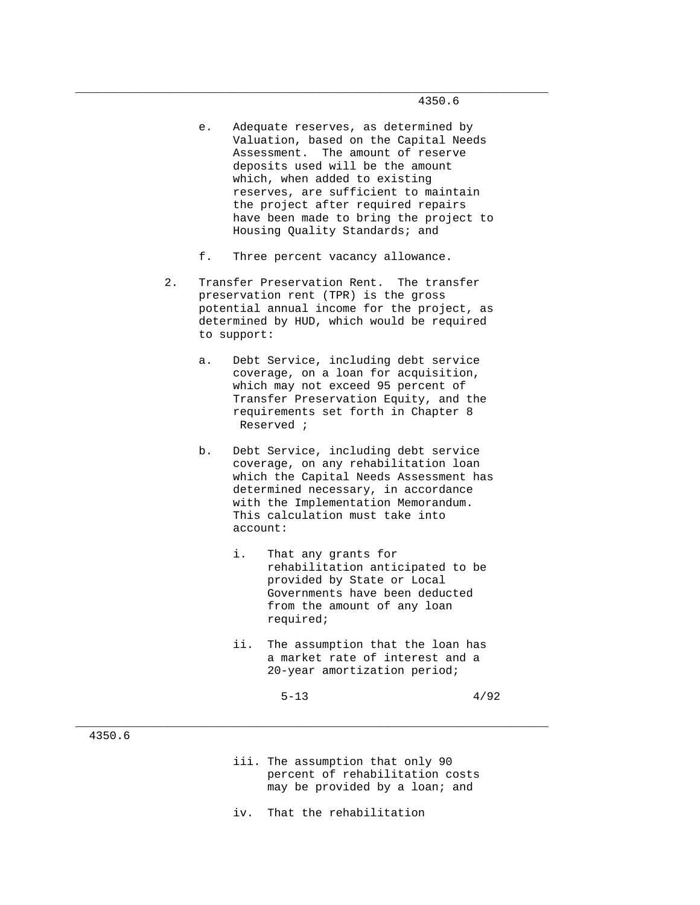- e. Adequate reserves, as determined by Valuation, based on the Capital Needs Assessment. The amount of reserve deposits used will be the amount which, when added to existing reserves, are sufficient to maintain the project after required repairs have been made to bring the project to Housing Quality Standards; and
- f. Three percent vacancy allowance.

\_\_\_\_\_\_\_\_\_\_\_\_\_\_\_\_\_\_\_\_\_\_\_\_\_\_\_\_\_\_\_\_\_\_\_\_\_\_\_\_\_\_\_\_\_\_\_\_\_\_\_\_\_\_\_\_\_\_\_\_\_\_\_\_\_\_\_\_\_

- 2. Transfer Preservation Rent. The transfer preservation rent (TPR) is the gross potential annual income for the project, as determined by HUD, which would be required to support:
	- a. Debt Service, including debt service coverage, on a loan for acquisition, which may not exceed 95 percent of Transfer Preservation Equity, and the requirements set forth in Chapter 8 Reserved ;
	- b. Debt Service, including debt service coverage, on any rehabilitation loan which the Capital Needs Assessment has determined necessary, in accordance with the Implementation Memorandum. This calculation must take into account:
		- i. That any grants for rehabilitation anticipated to be provided by State or Local Governments have been deducted from the amount of any loan required;
		- ii. The assumption that the loan has a market rate of interest and a 20-year amortization period;
- $5-13$   $4/92$

# 4350.6

- iii. The assumption that only 90 percent of rehabilitation costs may be provided by a loan; and
- iv. That the rehabilitation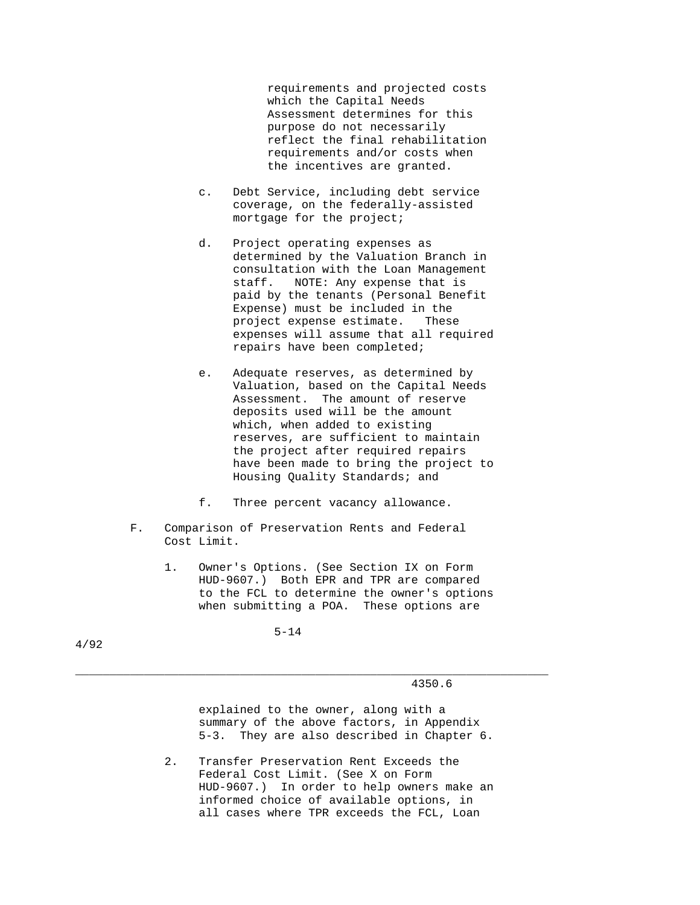requirements and projected costs which the Capital Needs Assessment determines for this purpose do not necessarily reflect the final rehabilitation requirements and/or costs when the incentives are granted.

- c. Debt Service, including debt service coverage, on the federally-assisted mortgage for the project;
- d. Project operating expenses as determined by the Valuation Branch in consultation with the Loan Management staff. NOTE: Any expense that is paid by the tenants (Personal Benefit Expense) must be included in the project expense estimate. These expenses will assume that all required repairs have been completed;
- e. Adequate reserves, as determined by Valuation, based on the Capital Needs Assessment. The amount of reserve deposits used will be the amount which, when added to existing reserves, are sufficient to maintain the project after required repairs have been made to bring the project to Housing Quality Standards; and
- f. Three percent vacancy allowance.
- F. Comparison of Preservation Rents and Federal Cost Limit.
	- 1. Owner's Options. (See Section IX on Form HUD-9607.) Both EPR and TPR are compared to the FCL to determine the owner's options when submitting a POA. These options are

\_\_\_\_\_\_\_\_\_\_\_\_\_\_\_\_\_\_\_\_\_\_\_\_\_\_\_\_\_\_\_\_\_\_\_\_\_\_\_\_\_\_\_\_\_\_\_\_\_\_\_\_\_\_\_\_\_\_\_\_\_\_\_\_\_\_\_\_\_

5-14

4/92

4350.6

 explained to the owner, along with a summary of the above factors, in Appendix 5-3. They are also described in Chapter 6.

 2. Transfer Preservation Rent Exceeds the Federal Cost Limit. (See X on Form HUD-9607.) In order to help owners make an informed choice of available options, in all cases where TPR exceeds the FCL, Loan